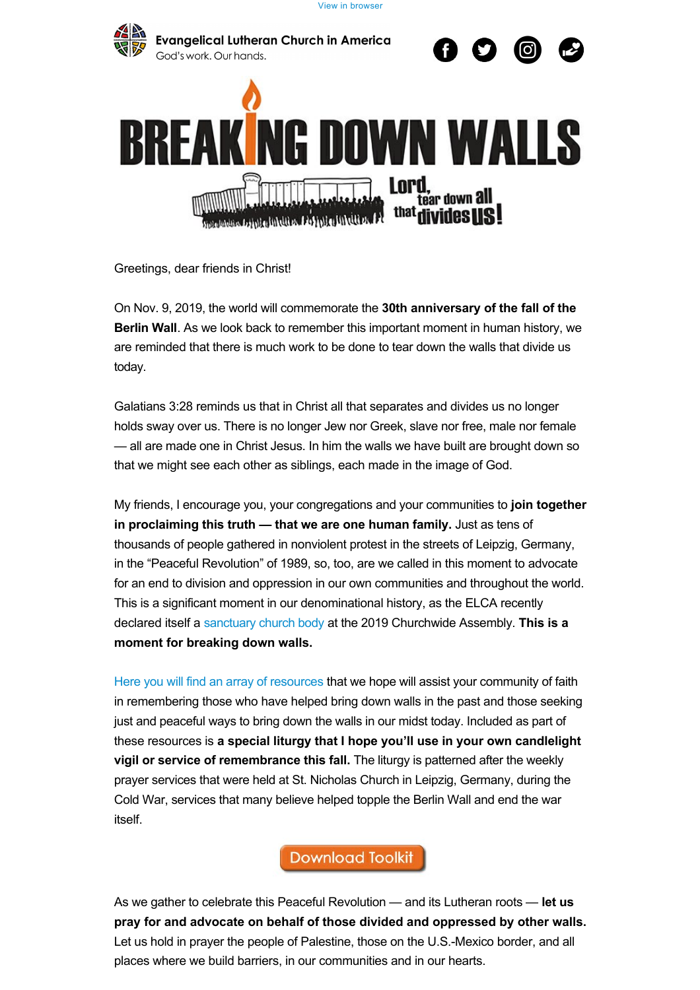[View in browser](https://community.elca.org/emailviewonwebpage.aspx?erid=92b157c4-c9bd-436d-a9ab-735c218c9def&trid=92b157c4-c9bd-436d-a9ab-735c218c9def)





Greetings, dear friends in Christ!

On Nov. 9, 2019, the world will commemorate the **30th anniversary of the fall of the Berlin Wall**. As we look back to remember this important moment in human history, we are reminded that there is much work to be done to tear down the walls that divide us today.

Galatians 3:28 reminds us that in Christ all that separates and divides us no longer holds sway over us. There is no longer Jew nor Greek, slave nor free, male nor female — all are made one in Christ Jesus. In him the walls we have built are brought down so that we might see each other as siblings, each made in the image of God.

My friends, I encourage you, your congregations and your communities to **join together in proclaiming this truth — that we are one human family.** Just as tens of thousands of people gathered in nonviolent protest in the streets of Leipzig, Germany, in the "Peaceful Revolution" of 1989, so, too, are we called in this moment to advocate for an end to division and oppression in our own communities and throughout the world. This is a significant moment in our denominational history, as the ELCA recently declared itself a [sanctuary church body](https://community.elca.org/page.redir?target=https%3A%2F%2Fwww.elca.org%2FSanctuaryChurch&srcid=205106&srctid=1&erid=92b157c4-c9bd-436d-a9ab-735c218c9def&trid=92b157c4-c9bd-436d-a9ab-735c218c9def) at the 2019 Churchwide Assembly. **This is a moment for breaking down walls.**

[Here you will find an array of resources](https://community.elca.org/page.redir?target=https%3A%2F%2Felca.org%2FResources%2FGlobal-Mission&srcid=205106&srctid=1&erid=92b157c4-c9bd-436d-a9ab-735c218c9def&trid=92b157c4-c9bd-436d-a9ab-735c218c9def) that we hope will assist your community of faith in remembering those who have helped bring down walls in the past and those seeking just and peaceful ways to bring down the walls in our midst today. Included as part of these resources is **a special liturgy that I hope you'll use in your own candlelight vigil or service of remembrance this fall.** The liturgy is patterned after the weekly prayer services that were held at St. Nicholas Church in Leipzig, Germany, during the Cold War, services that many believe helped topple the Berlin Wall and end the war itself.

**Download Toolkit** 

As we gather to celebrate this Peaceful Revolution — and its Lutheran roots — **let us pray for and advocate on behalf of those divided and oppressed by other walls.** Let us hold in prayer the people of Palestine, those on the U.S.-Mexico border, and all places where we build barriers, in our communities and in our hearts.